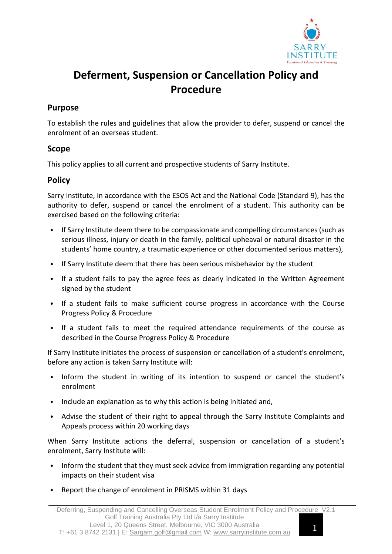

# **Deferment, Suspension or Cancellation Policy and Procedure**

## **Purpose**

To establish the rules and guidelines that allow the provider to defer, suspend or cancel the enrolment of an overseas student.

#### **Scope**

This policy applies to all current and prospective students of Sarry Institute.

## **Policy**

Sarry Institute, in accordance with the ESOS Act and the National Code (Standard 9), has the authority to defer, suspend or cancel the enrolment of a student. This authority can be exercised based on the following criteria:

- If Sarry Institute deem there to be compassionate and compelling circumstances (such as serious illness, injury or death in the family, political upheaval or natural disaster in the students' home country, a traumatic experience or other documented serious matters),
- If Sarry Institute deem that there has been serious misbehavior by the student
- If a student fails to pay the agree fees as clearly indicated in the Written Agreement signed by the student
- If a student fails to make sufficient course progress in accordance with the Course Progress Policy & Procedure
- If a student fails to meet the required attendance requirements of the course as described in the Course Progress Policy & Procedure

If Sarry Institute initiates the process of suspension or cancellation of a student's enrolment, before any action is taken Sarry Institute will:

- Inform the student in writing of its intention to suspend or cancel the student's enrolment
- Include an explanation as to why this action is being initiated and,
- Advise the student of their right to appeal through the Sarry Institute Complaints and Appeals process within 20 working days

When Sarry Institute actions the deferral, suspension or cancellation of a student's enrolment, Sarry Institute will:

- Inform the student that they must seek advice from immigration regarding any potential impacts on their student visa
- Report the change of enrolment in PRISMS within 31 days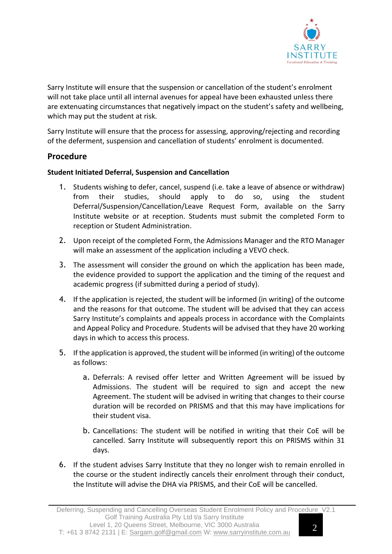

Sarry Institute will ensure that the suspension or cancellation of the student's enrolment will not take place until all internal avenues for appeal have been exhausted unless there are extenuating circumstances that negatively impact on the student's safety and wellbeing, which may put the student at risk.

Sarry Institute will ensure that the process for assessing, approving/rejecting and recording of the deferment, suspension and cancellation of students' enrolment is documented.

## **Procedure**

#### **Student Initiated Deferral, Suspension and Cancellation**

- 1. Students wishing to defer, cancel, suspend (i.e. take a leave of absence or withdraw) from their studies, should apply to do so, using the student Deferral/Suspension/Cancellation/Leave Request Form, available on the Sarry Institute website or at reception. Students must submit the completed Form to reception or Student Administration.
- 2. Upon receipt of the completed Form, the Admissions Manager and the RTO Manager will make an assessment of the application including a VEVO check.
- 3. The assessment will consider the ground on which the application has been made, the evidence provided to support the application and the timing of the request and academic progress (if submitted during a period of study).
- 4. If the application is rejected, the student will be informed (in writing) of the outcome and the reasons for that outcome. The student will be advised that they can access Sarry Institute's complaints and appeals process in accordance with the Complaints and Appeal Policy and Procedure. Students will be advised that they have 20 working days in which to access this process.
- 5. If the application is approved, the student will be informed (in writing) of the outcome as follows:
	- a. Deferrals: A revised offer letter and Written Agreement will be issued by Admissions. The student will be required to sign and accept the new Agreement. The student will be advised in writing that changes to their course duration will be recorded on PRISMS and that this may have implications for their student visa.
	- b. Cancellations: The student will be notified in writing that their CoE will be cancelled. Sarry Institute will subsequently report this on PRISMS within 31 days.
- 6. If the student advises Sarry Institute that they no longer wish to remain enrolled in the course or the student indirectly cancels their enrolment through their conduct, the Institute will advise the DHA via PRISMS, and their CoE will be cancelled.